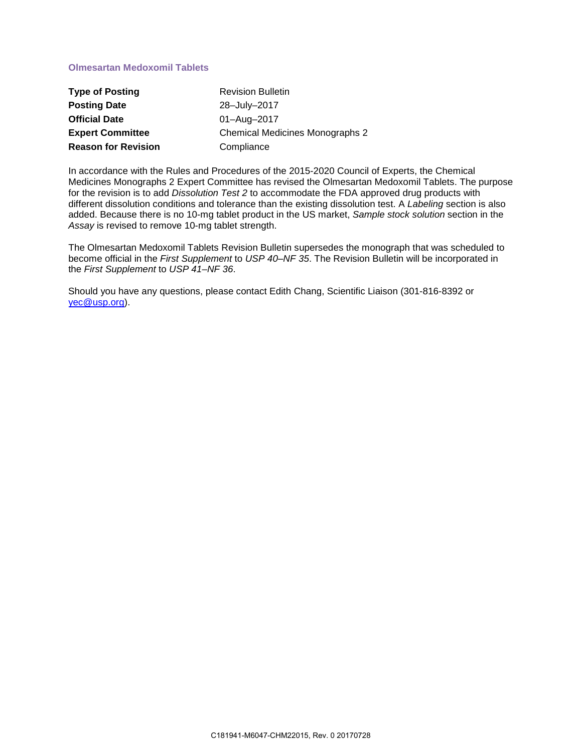## **Olmesartan Medoxomil Tablets**

| <b>Type of Posting</b>     | <b>Revision Bulletin</b>               |
|----------------------------|----------------------------------------|
| <b>Posting Date</b>        | 28-July-2017                           |
| <b>Official Date</b>       | 01-Aug-2017                            |
| <b>Expert Committee</b>    | <b>Chemical Medicines Monographs 2</b> |
| <b>Reason for Revision</b> | Compliance                             |

In accordance with the Rules and Procedures of the 2015-2020 Council of Experts, the Chemical Medicines Monographs 2 Expert Committee has revised the Olmesartan Medoxomil Tablets. The purpose for the revision is to add *Dissolution Test 2* to accommodate the FDA approved drug products with different dissolution conditions and tolerance than the existing dissolution test. A *Labeling* section is also added. Because there is no 10-mg tablet product in the US market, *Sample stock solution* section in the *Assay* is revised to remove 10-mg tablet strength.

The Olmesartan Medoxomil Tablets Revision Bulletin supersedes the monograph that was scheduled to become official in the *First Supplement* to USP 40–NF 35. The Revision Bulletin will be incorporated in the *First Supplement* to *USP 41–NF 36*.

Should you have any questions, please contact Edith Chang, Scientific Liaison (301-816-8392 or [yec@usp.org\)](mailto:yec@usp.org).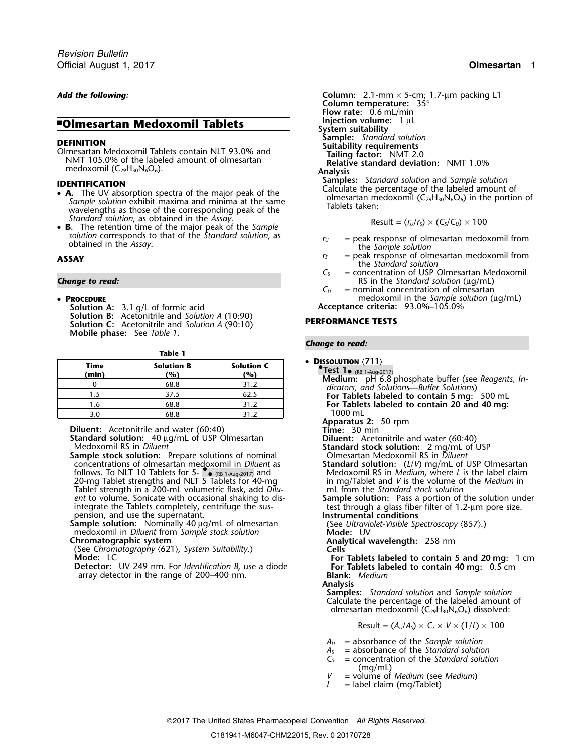# **Example 5 Exercise 2 Injection volume:** 1 µL<br>**Colmesartan Medoxomil Tablets System suitability**

- Sample solution exhibit maxima and minima at the same<br>wavelengths as those of the corresponding peak of the<br>Standard solution, as obtained in the Assay.
- *Standard solution,* as obtained in the *Assay*.<br>**B.** The retention time of the major peak of the *Sample* **Example B.** The retention time of the major peak of the *Sample solution* corresponds to that of the *Standard solution*, as *<sup>r</sup><sup>U</sup>* = peak response of olmesartan medoxomil from obtained in the *Assay*. the *Sample solution*

### •

**Solution A:** 3.1 g/L of formic acid **Solution B:** Acetonitrile and *Solution A* (10:90) **PERFORMANCE TESTS Solution C:** Acetonitrile and *Solution A* (90:10) **Mobile phase:** See *Table 1*.

**Table 1**

| • DISSOLUTION $\langle 711 \rangle$<br>$\bullet$ Test 1 $\bullet$ (RB 1-Aug-2 | <b>Solution C</b><br>(%) | <b>Solution B</b><br>$\gamma$ <sup>o</sup> $\gamma$ | Time<br>(min) |
|-------------------------------------------------------------------------------|--------------------------|-----------------------------------------------------|---------------|
| Medium: pH 6<br>dicators, and S                                               | 31.2                     | 68.8                                                |               |
| For Tablets lal                                                               | 62.5                     | 37.5                                                | 1.5           |
| <b>For Tablets lal</b>                                                        | 31.2                     | 68.8                                                |               |
| 1000 mL                                                                       | 31 2                     | 68.8                                                | 3.0           |

**Apparatus 2:** 50 rpm **Diluent:** Acetonitrile and water (60:40) **Time:** 30 min

- **Standard solution:** 40 µg/mL of USP Olmesartan **Diluent:** Acetonitrile and water (60:40)<br>Medoxomil RS in *Diluent* **Diluent Diluent: Standard stock solution:** 2 mg/mL of USP
- Sample stock solution: Prepare solutions of nominal<br> **Standard solution:** CI/V) mg/mL of USP Olmesartan Medoxomil RS in *Diluent*<br>
Standard solution: (L/V) mg/mL of USP Olmesartan concentrations of olmesartan medoxomil in *Diluent* as **Standard solution:** (L/V) mg/mL of USP Olmesartan<br>follows. To NLT 10 Tablets for 5- • <sub>(RB 1-Aug-2017)</sub> and Medoxomil RS in *Medium,* where *L* is Tablet strength in a 200-mL volumetric flask, add *Dilu-* mL from the *Standard stock solution*<br> *ent* to volume. Sonicate with occasional shaking to dis-<br> **Sample solution:** Pass a portion of the solution under integrate the Tablets completely, centrifuge the sus-<br>pension, and use the supernatant.<br>Instrumental conditions pension, and use the supernatant.<br> **Instrumental conditions**<br> **Instrumental conditions** (See Ultraviolet-Visible Spectroscopy (857).)

Sample solution: Nominally 40 µg/mL of olmesartan medoxomil in *Diluent* from *Sample* stock solution<br>**Chromatographic system Analytical** 

(See Chromatography  $\langle 621 \rangle$ , System Suitability.) **Mode:** LC

array detector in the range of 200–400 nm. **Blank:** *Medium*

*Add the following:* **Column:** 2.1-mm × 5-cm; 1.7-µm packing L1 **Column temperature:** 35° **. Flow rate:** 0.6 mL/min **DEFINITION**<br>
Olmesartan Medoxomil Tablets contain NLT 93.0% and<br>
NMT 105.0% of the labeled amount of olmesartan<br>
medoxomil (C<sub>29</sub>H<sub>30</sub>N<sub>6</sub>O<sub>6</sub>).<br> **IDENTIFICATION**<br> **IDENTIFICATION**<br> **IDENTIFICATION**<br> **IDENTIFICATION** 

**Samples:** *Standard solution* and *Sample* solution<br>
• **A**. The UV absorption spectra of the major peak of the Calculate the percentage of the labeled amount of •<br>
Sample solution exhibit maxima and minima at the same • •

$$
Result = (r_U/r_S) \times (C_S/C_U) \times 100
$$

- 
- **ASSAY** *r<sub>S</sub>* = peak response of olmesartan medoxomil from the *Standard solution*
- *C<sup>S</sup>* = concentration of USP Olmesartan Medoxomil **Change to read:** RS in the *Standard solution* (µg/mL)
	- $C_U$  = nominal concentration of olmesartan
	- **PROCEDURE**<br>**Solution A:** 3.1 g/L of formic acid **Acceptance criteria:** 93.0%–105.0%

### *Change to read:*

Test 1 (Rei 1-Aug-2017)<br>
(min) (%) (%) (%)<br>
0 68.8 31.2 Medium: pH 6.8 phosphate buffer (see Reagents, In-<br>
1.5 37.5 62.5 For Tablets labeled to contain 5 mg: 500 mL 1.6 68.8 31.2 **For Tablets labeled to contain 20 and 40 mg:** 1000 mL

Medoxomil RS in *Medium*, where *L* is the label claim<br>in mg/Tablet and *V* is the volume of the *Medium* in

**Chromatographic system Analytical wavelength:** 258 nm

**Mode:** LC<br>**Detector:** UV 249 nm. For *Identification B*, use a diode **For Tablets labeled to contain 40 mg:** 0.5 cm **For Tablets labeled to contain 40 mg:** 0.5 cm

### **Analysis**

**Samples:** *Standard solution* and *Sample solution* Calculate the percentage of the labeled amount of olmesartan medoxomil ( $C_{29}H_{30}N_6O_6$ ) dissolved:

 $Result = (A<sub>U</sub>/A<sub>S</sub>) \times C<sub>S</sub> \times V \times (1/L) \times 100$ 

- 
- *A<sup>U</sup>* = absorbance of the *Sample solution A<sup>S</sup>* = absorbance of the *Standard solution*
- *C<sup>S</sup>* = concentration of the *Standard solution* (mg/mL)
- *V* = volume of *Medium* (see *Medium*)
- = label claim (mg/Tablet)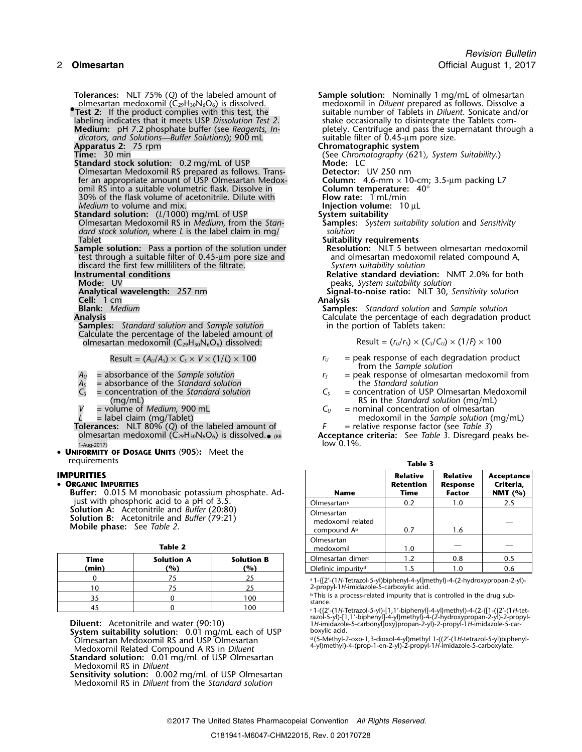- labeling indicates that it meets USP *Dissolution Test 2*.<br>Medium: pH 7.2 phosphate buffer (see *Reagents, Indicators, and Solutions—Buffer Solutions*); 900 mL<br>**Apparatus 2:** 75 rpm **Apparatus 2:** 75 rpm **Chromatographic system**<br> **Chromatographic system**<br> **Chromatography** (62)
- 
- **Standard stock solution:** 0.2 mg/mL of USP **Mode:** LC **Mode:** LC **Mode:** LC **Mode:** Detector: UV 250 nm Olmesartan Medoxomil RS prepared as follows. Trans- **Detector:** UV 250 nm fer an appropriate amount of USP Olmesartan Medox-**<br>10-11 omil RS** into a suitable volumetric flask. Dissolve in **Column temperature:** 40° omil RS into a suitable volumetric flask. Dissolve in **Column temperature**<br>30% of the flask volume of acetonitrile. Dilute with **Flow rate:** 1 mL/min 30% of the flask volume of acetonitrile. Dilute with *Medium* to volume and mix.<br> **Injection volume:** 10 µL<br> **Injection volume:** 10 µL<br> **Injection volume:** 10 µL
- **Standard solution:** (*L*/1000) mg/mL of USP **System suitability**<br> **Samples:** System suitability solution and Sensitivity<br> **Samples:** System suitability solution and Sensitivity Olmesartan Medoxomil RS in *Medium*, from the Stan*dard stock solution*, where *L* is the label claim in mg/ *solution*
- **Sample solution:** Pass a portion of the solution under **Resolution:** NLT 5 between olmesartan medoxomil related compound A, thest through a suitable filter of 0.45-µm pore size and and olmesartan medoxomil related compoun test through a suitable filter of 0.45-µm pore size and and olmesartan medoxomil discard the first few milliliters of the filtrate. discard the first few milliliters of the filtrate.<br>**Instrumental conditions**

- 
- 
- **Cell:** 1 cm<br>**Blank:** *Medium*
- 

**Samples:** *Standard solution* and *Sample solution* Calculate the percentage of the labeled amount of olmesartan medoxomil (C<sub>29</sub>H<sub>30</sub>N<sub>6</sub>O<sub>6</sub>) dissolved:

- 
- *A<sup>S</sup>* = absorbance of the *Standard solution* the *Standard solution*
- 
- 
- 
- **Tolerances:** NLT 80% (Q) of the labeled amount of olmesartan medoxomil (C<sub>29</sub>H<sub>30</sub>N<sub>6</sub>O<sub>6</sub>) is dissolved.<sub>• (RB</sub>)  $1-\text{Aug-2017}$  low  $0.1\%$ .
- **UNIFORMITY OF DOSAGE UNITS** 〈**905**〉**:** Meet the requirements

| ۰.<br>۰.<br>M<br>× |  |
|--------------------|--|
|--------------------|--|

| Time<br>(min) | <b>Solution A</b><br>(%) | <b>Solution B</b><br>$'$ %) |   |
|---------------|--------------------------|-----------------------------|---|
|               |                          |                             | a |
|               |                          |                             |   |
|               |                          | 10C                         |   |
|               |                          |                             |   |

**System suitability solution:** boxylic acid. 0.01 mg/mL each of USP <sup>d</sup> Olmesartan Medoxomil RS and USP Olmesartan .(5-Methyl-2-oxo-1,3-dioxol-4-yl)methyl 1-((2′-(1*H*-tetrazol-5-yl)biphenyl-Medoxomil Related Compound A RS in 4-yl)methyl)-4-(prop-1-en-2-yl)-2-propyl-1*H*-imidazole-5-carboxylate. *Diluent* **Standard solution:** 0.01 mg/mL of USP Olmesartan

Medoxomil RS in *Diluent*

**Sensitivity solution:** 0.002 mg/mL of USP Olmesartan Medoxomil RS in *Diluent* from the *Standard solution*

**Tolerances:** NLT 75% (*Q*) of the labeled amount of **Sample solution:** Nominally 1 mg/mL of olmesartan olmesartan medoxomil (C29H30N6O6) is dissolved. medoxomil in *Diluent* prepared as follows. Dissolve a **•Test 2:** If the product complies with this test, the suitable number of Tablets in *Diluent*. Sonicate and/or labeling indicates that it meets USP *Dissolution Test 2*. pletely. Centrifuge and pass the supernatant through a suitable filter of 0.45-um pore size.

**Time:** 30 min (See *Chromatography* 〈621〉*, System Suitability*.)

- 
- 

- 
- 
- **Suitability requirements<br>Resolution:** NLT 5 between olmesartan medoxomil
- **Relative standard deviation:** NMT 2.0% for both

**Mode:** UV **peaks,** *System suitability solution*<br>**Analytical wavelength: 257 nm 1988 1998 1998 1998 1998 1998 1998 1998 1998 1999 1999 1999 1999 1999 1999 1999 1999 1999 1999 1999 Analytical wavelength:** 257 nm **Signal-to-noise ratio:** NLT 30, *Sensitivity solution*

**Blank:** *Medium* **Samples:** *Standard solution* and *Sample solution* Calculate the percentage of each degradation product in the portion of Tablets taken:

$$
Result = (r_U/r_S) \times (C_S/C_U) \times (1/F) \times 100
$$

- Result =  $(A<sub>U</sub>/A<sub>S</sub>) \times C<sub>S</sub> \times V \times (1/L) \times 100$   $r<sub>U</sub>$  = peak response of each degradation product from the *Sample solution*
- *A<sup>U</sup>* = absorbance of the *Sample solution <sup>r</sup><sup>S</sup>* = peak response of olmesartan medoxomil from
- $C_s$  = concentration of the *Standard solution*  $C_s$  = concentration of USP Olmesartan Medoxomil (mg/mL)<br>= volume of *Medium*, 900 mL<br> $C_U$  = nominal concentration of olmesartan
- $V =$  volume of *Medium*, 900 mL *L* = label claim (mg/Tablet) medoxomil in the *Sample solution* (mg/mL)

Acceptance criteria: See *Table 3*. Disregard peaks be-

| requirements                                                                                                                                             |                                        |                                                            | Table 3                        |                                      |                                              |                                      |
|----------------------------------------------------------------------------------------------------------------------------------------------------------|----------------------------------------|------------------------------------------------------------|--------------------------------|--------------------------------------|----------------------------------------------|--------------------------------------|
| <b>IMPURITIES</b><br>• ORGANIC IMPURITIES<br>Buffer: 0.015 M monobasic potassium phosphate. Ad-<br>just with phosphoric acid to a pH of 3.5.             |                                        |                                                            | <b>Name</b>                    | Relative<br><b>Retention</b><br>Time | Relative<br><b>Response</b><br><b>Factor</b> | Acceptance<br>Criteria,<br>NMT $(%)$ |
|                                                                                                                                                          |                                        |                                                            | Olmesartan <sup>a</sup>        | 0.2                                  | 1.0                                          | 2.5                                  |
| Solution A: Acetonitrile and <i>Buffer</i> (20:80)<br><b>Solution B:</b> Acetonitrile and <i>Buffer</i> (79:21)<br>Mobile phase: See Table 2.<br>Table 2 |                                        | Olmesartan<br>medoxomil related<br>compound A <sup>b</sup> | 0.7                            | 1.6                                  |                                              |                                      |
|                                                                                                                                                          |                                        | Olmesartan<br>medoxomil                                    | 1.0                            |                                      |                                              |                                      |
| Time                                                                                                                                                     | <b>Solution B</b><br><b>Solution A</b> |                                                            | Olmesartan dimer               | 1.2                                  | 0.8                                          | 0.5                                  |
| (min)                                                                                                                                                    | (%)                                    | (%)                                                        | Olefinic impurity <sup>d</sup> | 1.5                                  | 1.0                                          | 0.6                                  |
|                                                                                                                                                          |                                        |                                                            |                                |                                      |                                              |                                      |

.1-{[2′-(1*H*-Tetrazol-5-yl)biphenyl-4-yl]methyl}-4-(2-hydroxypropan-2-yl)- 10 75 25 2-propyl-1*H*-imidazole-5-carboxylic acid.

 $\begin{array}{c|c|c|c} \text{35} & \text{0} & \text{100} & \text{100} & \text{100} & \text{101} \end{array}$  stance.

43)-11-{12^{1}-1} c1-{12^{1}-Tetrazol-5-yl)-[1,1^-biphenyl]-4-yl}methyl)-4-(2^{1}-1} c1}<br>razol-5-yl)-[1,1^-biphenyl]-4-yl} methyl)-4-(2-{1}-1} cnapsi-5-yl)-[1,1^-biphenyl]-4-yl} methyl)-4-(2-{1}-1}<br>17-imidazole-5-carbonyl]